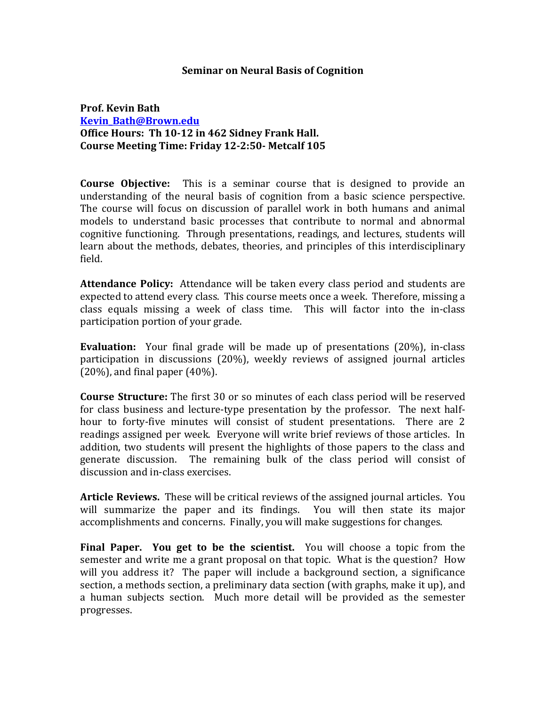## **Seminar on Neural Basis of Cognition**

## **Prof. Kevin Bath Kevin\_Bath@Brown.edu Office Hours: Th 10-12 in 462 Sidney Frank Hall. Course Meeting Time: Friday 12-2:50- Metcalf 105**

**Course Objective:** This is a seminar course that is designed to provide an understanding of the neural basis of cognition from a basic science perspective. The course will focus on discussion of parallel work in both humans and animal models to understand basic processes that contribute to normal and abnormal cognitive functioning. Through presentations, readings, and lectures, students will learn about the methods, debates, theories, and principles of this interdisciplinary field.

**Attendance Policy:** Attendance will be taken every class period and students are expected to attend every class. This course meets once a week. Therefore, missing a class equals missing a week of class time. This will factor into the in-class participation portion of your grade.

**Evaluation:** Your final grade will be made up of presentations (20%), in-class participation in discussions (20%), weekly reviews of assigned journal articles  $(20%)$ , and final paper  $(40%)$ .

**Course Structure:** The first 30 or so minutes of each class period will be reserved for class business and lecture-type presentation by the professor. The next halfhour to forty-five minutes will consist of student presentations. There are 2 readings assigned per week. Everyone will write brief reviews of those articles. In addition, two students will present the highlights of those papers to the class and generate discussion. The remaining bulk of the class period will consist of discussion and in-class exercises.

**Article Reviews.** These will be critical reviews of the assigned journal articles. You will summarize the paper and its findings. You will then state its major accomplishments and concerns. Finally, you will make suggestions for changes.

**Final Paper.** You get to be the scientist. You will choose a topic from the semester and write me a grant proposal on that topic. What is the question? How will you address it? The paper will include a background section, a significance section, a methods section, a preliminary data section (with graphs, make it up), and a human subjects section. Much more detail will be provided as the semester progresses.